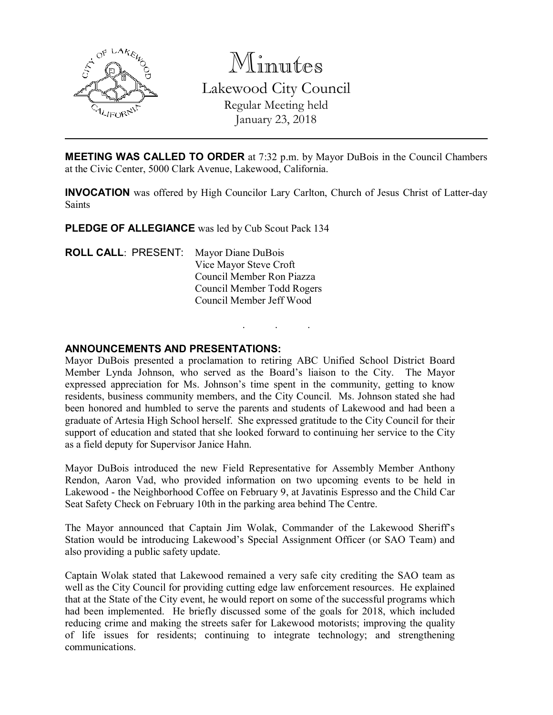

Minutes Lakewood City Council Regular Meeting held January 23, 2018

MEETING WAS CALLED TO ORDER at 7:32 p.m. by Mayor DuBois in the Council Chambers at the Civic Center, 5000 Clark Avenue, Lakewood, California.

INVOCATION was offered by High Councilor Lary Carlton, Church of Jesus Christ of Latter-day Saints

. . .

PLEDGE OF ALLEGIANCE was led by Cub Scout Pack 134

ROLL CALL: PRESENT: Mayor Diane DuBois Vice Mayor Steve Croft Council Member Ron Piazza Council Member Todd Rogers Council Member Jeff Wood

### ANNOUNCEMENTS AND PRESENTATIONS:

Mayor DuBois presented a proclamation to retiring ABC Unified School District Board Member Lynda Johnson, who served as the Board's liaison to the City. The Mayor expressed appreciation for Ms. Johnson's time spent in the community, getting to know residents, business community members, and the City Council.Ms. Johnson stated she had been honored and humbled to serve the parents and students of Lakewood and had been a graduate of Artesia High School herself. She expressed gratitude to the City Council for their support of education and stated that she looked forward to continuing her service to the City as a field deputy for Supervisor Janice Hahn.

Mayor DuBois introduced the new Field Representative for Assembly Member Anthony Rendon, Aaron Vad, who provided information on two upcoming events to be held in Lakewood - the Neighborhood Coffee on February 9, at Javatinis Espresso and the Child Car Seat Safety Check on February 10th in the parking area behind The Centre.

The Mayor announced that Captain Jim Wolak, Commander of the Lakewood Sheriff's Station would be introducing Lakewood's Special Assignment Officer (or SAO Team) and also providing a public safety update.

Captain Wolak stated that Lakewood remained a very safe city crediting the SAO team as well as the City Council for providing cutting edge law enforcement resources. He explained that at the State of the City event, he would report on some of the successful programs which had been implemented. He briefly discussed some of the goals for 2018, which included reducing crime and making the streets safer for Lakewood motorists; improving the quality of life issues for residents; continuing to integrate technology; and strengthening communications.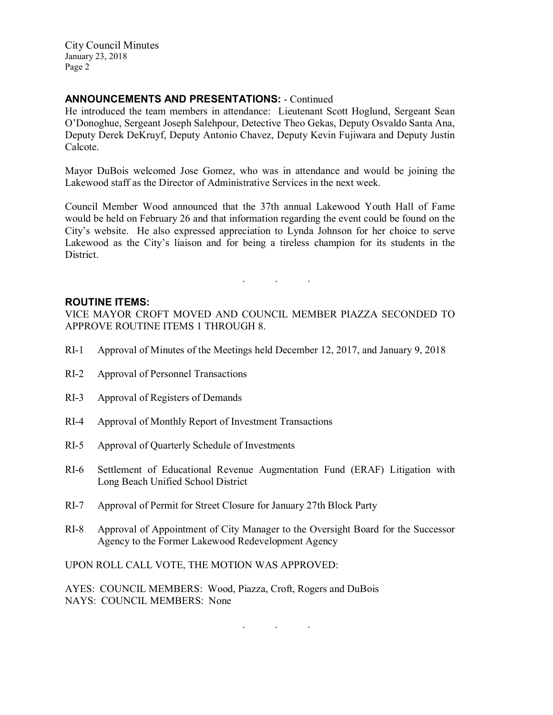## ANNOUNCEMENTS AND PRESENTATIONS: - Continued

He introduced the team members in attendance: Lieutenant Scott Hoglund, Sergeant Sean O'Donoghue, Sergeant Joseph Salehpour, Detective Theo Gekas, Deputy Osvaldo Santa Ana, Deputy Derek DeKruyf, Deputy Antonio Chavez, Deputy Kevin Fujiwara and Deputy Justin Calcote.

Mayor DuBois welcomed Jose Gomez, who was in attendance and would be joining the Lakewood staff as the Director of Administrative Services in the next week.

Council Member Wood announced that the 37th annual Lakewood Youth Hall of Fame would be held on February 26 and that information regarding the event could be found on the City's website. He also expressed appreciation to Lynda Johnson for her choice to serve Lakewood as the City's liaison and for being a tireless champion for its students in the District.

. . .

### ROUTINE ITEMS:

VICE MAYOR CROFT MOVED AND COUNCIL MEMBER PIAZZA SECONDED TO APPROVE ROUTINE ITEMS 1 THROUGH 8.

- RI-1 Approval of Minutes of the Meetings held December 12, 2017, and January 9, 2018
- RI-2 Approval of Personnel Transactions
- RI-3 Approval of Registers of Demands
- RI-4 Approval of Monthly Report of Investment Transactions
- RI-5 Approval of Quarterly Schedule of Investments
- RI-6 Settlement of Educational Revenue Augmentation Fund (ERAF) Litigation with Long Beach Unified School District
- RI-7 Approval of Permit for Street Closure for January 27th Block Party
- RI-8 Approval of Appointment of City Manager to the Oversight Board for the Successor Agency to the Former Lakewood Redevelopment Agency

. . .

UPON ROLL CALL VOTE, THE MOTION WAS APPROVED:

AYES: COUNCIL MEMBERS: Wood, Piazza, Croft, Rogers and DuBois NAYS: COUNCIL MEMBERS: None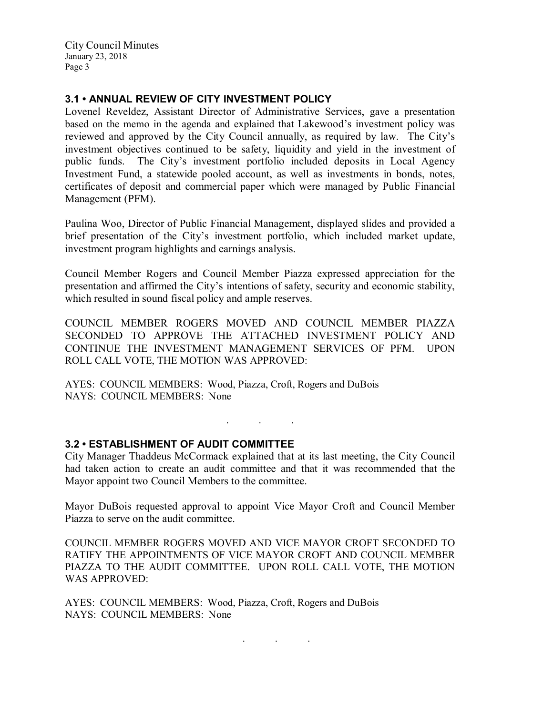### 3.1 • ANNUAL REVIEW OF CITY INVESTMENT POLICY

Lovenel Reveldez, Assistant Director of Administrative Services, gave a presentation based on the memo in the agenda and explained that Lakewood's investment policy was reviewed and approved by the City Council annually, as required by law. The City's investment objectives continued to be safety, liquidity and yield in the investment of public funds. The City's investment portfolio included deposits in Local Agency Investment Fund, a statewide pooled account, as well as investments in bonds, notes, certificates of deposit and commercial paper which were managed by Public Financial Management (PFM).

Paulina Woo, Director of Public Financial Management, displayed slides and provided a brief presentation of the City's investment portfolio, which included market update, investment program highlights and earnings analysis.

Council Member Rogers and Council Member Piazza expressed appreciation for the presentation and affirmed the City's intentions of safety, security and economic stability, which resulted in sound fiscal policy and ample reserves.

COUNCIL MEMBER ROGERS MOVED AND COUNCIL MEMBER PIAZZA SECONDED TO APPROVE THE ATTACHED INVESTMENT POLICY AND CONTINUE THE INVESTMENT MANAGEMENT SERVICES OF PFM. UPON ROLL CALL VOTE, THE MOTION WAS APPROVED:

AYES: COUNCIL MEMBERS: Wood, Piazza, Croft, Rogers and DuBois NAYS: COUNCIL MEMBERS: None

### 3.2 • ESTABLISHMENT OF AUDIT COMMITTEE

City Manager Thaddeus McCormack explained that at its last meeting, the City Council had taken action to create an audit committee and that it was recommended that the Mayor appoint two Council Members to the committee.

. . .

Mayor DuBois requested approval to appoint Vice Mayor Croft and Council Member Piazza to serve on the audit committee.

COUNCIL MEMBER ROGERS MOVED AND VICE MAYOR CROFT SECONDED TO RATIFY THE APPOINTMENTS OF VICE MAYOR CROFT AND COUNCIL MEMBER PIAZZA TO THE AUDIT COMMITTEE. UPON ROLL CALL VOTE, THE MOTION WAS APPROVED:

AYES: COUNCIL MEMBERS: Wood, Piazza, Croft, Rogers and DuBois NAYS: COUNCIL MEMBERS: None

 $\mathbf{r}$  .  $\mathbf{r}$  ,  $\mathbf{r}$  ,  $\mathbf{r}$  ,  $\mathbf{r}$  ,  $\mathbf{r}$  ,  $\mathbf{r}$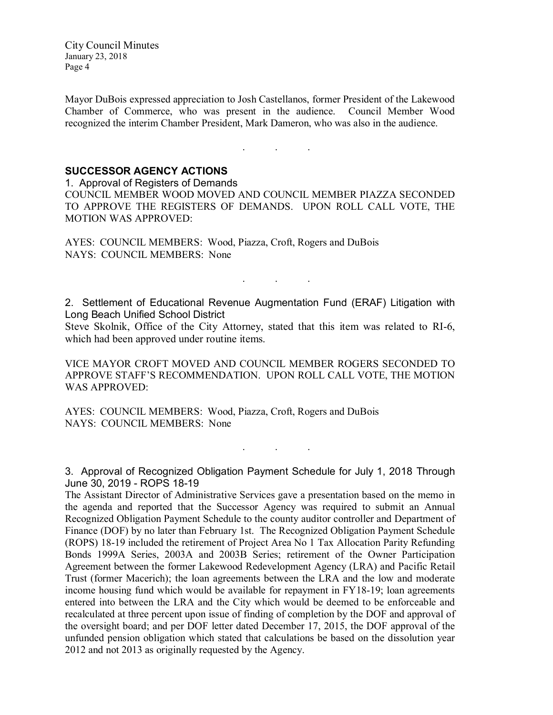Mayor DuBois expressed appreciation to Josh Castellanos, former President of the Lakewood Chamber of Commerce, who was present in the audience. Council Member Wood recognized the interim Chamber President, Mark Dameron, who was also in the audience.

. . .

# SUCCESSOR AGENCY ACTIONS

1. Approval of Registers of Demands

COUNCIL MEMBER WOOD MOVED AND COUNCIL MEMBER PIAZZA SECONDED TO APPROVE THE REGISTERS OF DEMANDS. UPON ROLL CALL VOTE, THE MOTION WAS APPROVED:

AYES: COUNCIL MEMBERS: Wood, Piazza, Croft, Rogers and DuBois NAYS: COUNCIL MEMBERS: None

. . .

2. Settlement of Educational Revenue Augmentation Fund (ERAF) Litigation with Long Beach Unified School District

Steve Skolnik, Office of the City Attorney, stated that this item was related to RI-6, which had been approved under routine items.

VICE MAYOR CROFT MOVED AND COUNCIL MEMBER ROGERS SECONDED TO APPROVE STAFF'S RECOMMENDATION. UPON ROLL CALL VOTE, THE MOTION WAS APPROVED:

AYES: COUNCIL MEMBERS: Wood, Piazza, Croft, Rogers and DuBois NAYS: COUNCIL MEMBERS: None

3. Approval of Recognized Obligation Payment Schedule for July 1, 2018 Through June 30, 2019 - ROPS 18-19

. . .

The Assistant Director of Administrative Services gave a presentation based on the memo in the agenda and reported that the Successor Agency was required to submit an Annual Recognized Obligation Payment Schedule to the county auditor controller and Department of Finance (DOF) by no later than February 1st. The Recognized Obligation Payment Schedule (ROPS) 18-19 included the retirement of Project Area No 1 Tax Allocation Parity Refunding Bonds 1999A Series, 2003A and 2003B Series; retirement of the Owner Participation Agreement between the former Lakewood Redevelopment Agency (LRA) and Pacific Retail Trust (former Macerich); the loan agreements between the LRA and the low and moderate income housing fund which would be available for repayment in FY18-19; loan agreements entered into between the LRA and the City which would be deemed to be enforceable and recalculated at three percent upon issue of finding of completion by the DOF and approval of the oversight board; and per DOF letter dated December 17, 2015, the DOF approval of the unfunded pension obligation which stated that calculations be based on the dissolution year 2012 and not 2013 as originally requested by the Agency.